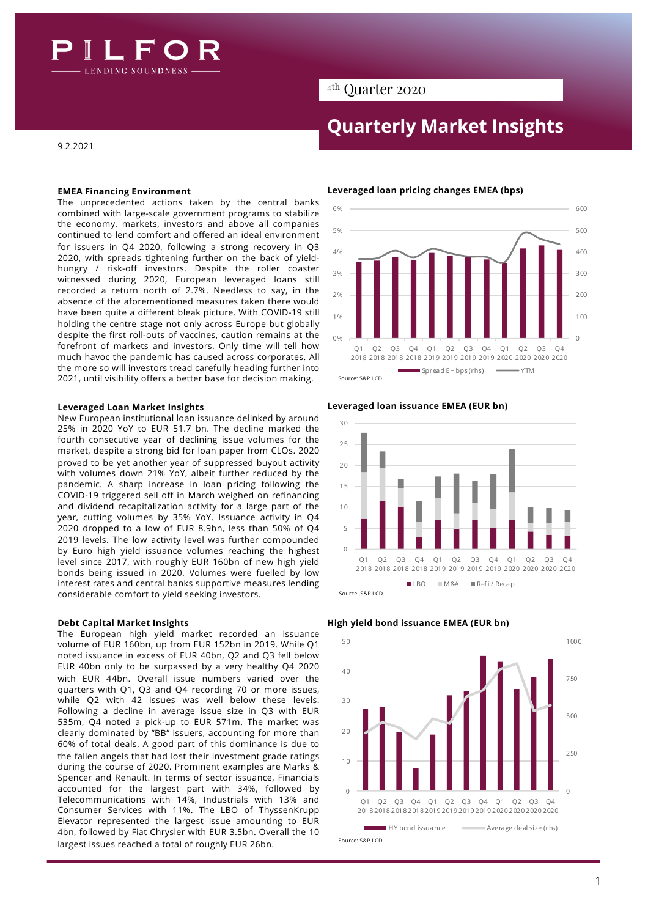

# 4th Quarter 2020

# **Quarterly Market Insights**

9.2.2021

# **EMEA Financing Environment**

The unprecedented actions taken by the central banks combined with large-scale government programs to stabilize the economy, markets, investors and above all companies continued to lend comfort and offered an ideal environment for issuers in Q4 2020, following a strong recovery in Q3 2020, with spreads tightening further on the back of yieldhungry / risk-off investors. Despite the roller coaster witnessed during 2020, European leveraged loans still recorded a return north of 2.7%. Needless to say, in the absence of the aforementioned measures taken there would have been quite a different bleak picture. With COVID-19 still holding the centre stage not only across Europe but globally despite the first roll-outs of vaccines, caution remains at the forefront of markets and investors. Only time will tell how much havoc the pandemic has caused across corporates. All the more so will investors tread carefully heading further into 2021, until visibility offers a better base for decision making.

# **Leveraged Loan Market Insights**

New European institutional loan issuance delinked by around 25% in 2020 YoY to EUR 51.7 bn. The decline marked the fourth consecutive year of declining issue volumes for the market, despite a strong bid for loan paper from CLOs. 2020 proved to be yet another year of suppressed buyout activity with volumes down 21% YoY, albeit further reduced by the pandemic. A sharp increase in loan pricing following the COVID-19 triggered sell off in March weighed on refinancing and dividend recapitalization activity for a large part of the year, cutting volumes by 35% YoY. Issuance activity in Q4 2020 dropped to a low of EUR 8.9bn, less than 50% of Q4 2019 levels. The low activity level was further compounded by Euro high yield issuance volumes reaching the highest level since 2017, with roughly EUR 160bn of new high yield bonds being issued in 2020. Volumes were fuelled by low interest rates and central banks supportive measures lending considerable comfort to yield seeking investors.

The European high yield market recorded an issuance volume of EUR 160bn, up from EUR 152bn in 2019. While Q1 noted issuance in excess of EUR 40bn, Q2 and Q3 fell below EUR 40bn only to be surpassed by a very healthy Q4 2020 with EUR 44bn. Overall issue numbers varied over the quarters with Q1, Q3 and Q4 recording 70 or more issues, while Q2 with 42 issues was well below these levels. Following a decline in average issue size in Q3 with EUR 535m, Q4 noted a pick-up to EUR 571m. The market was clearly dominated by "BB" issuers, accounting for more than 60% of total deals. A good part of this dominance is due to the fallen angels that had lost their investment grade ratings during the course of 2020. Prominent examples are Marks & Spencer and Renault. In terms of sector issuance, Financials accounted for the largest part with 34%, followed by Telecommunications with 14%, Industrials with 13% and Consumer Services with 11%. The LBO of ThyssenKrupp Elevator represented the largest issue amounting to EUR 4bn, followed by Fiat Chrysler with EUR 3.5bn. Overall the 10 largest issues reached a total of roughly EUR 26bn.

# **Leveraged loan pricing changes EMEA (bps)**





## **Leveraged loan issuance EMEA (EUR bn)**



#### **Debt Capital Market Insights High yield bond issuance EMEA (EUR bn)**



# 1